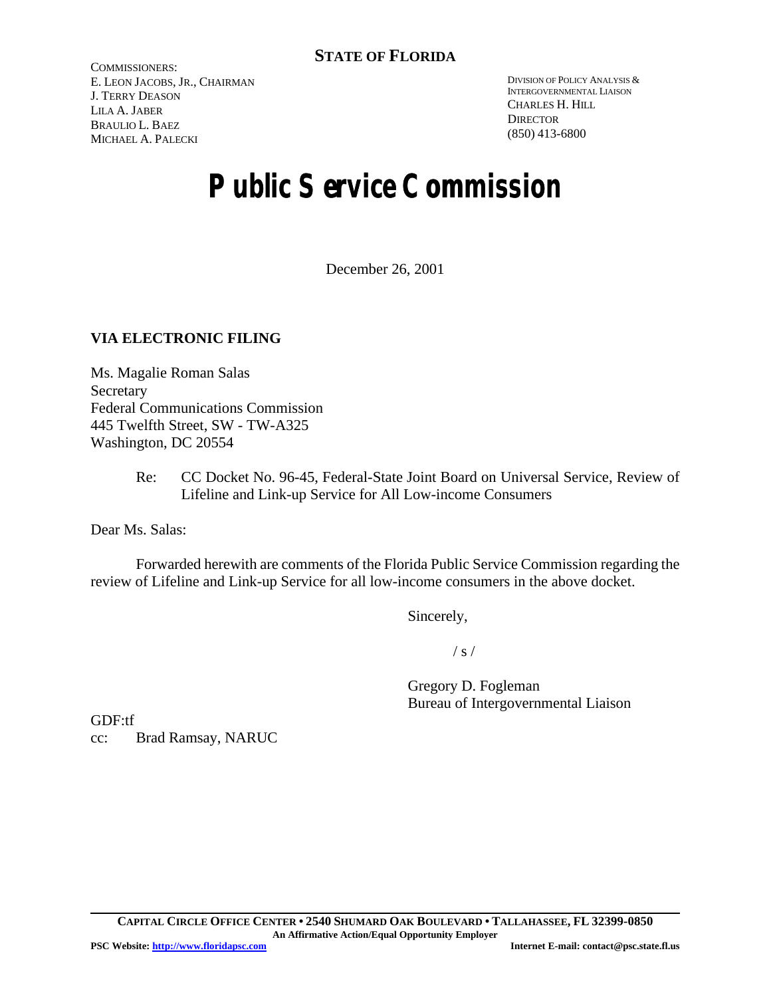COMMISSIONERS: E. LEON JACOBS, JR., CHAIRMAN J. TERRY DEASON LILA A. JABER BRAULIO L. BAEZ MICHAEL A. PALECKI

DIVISION OF POLICY ANALYSIS & INTERGOVERNMENTAL LIAISON CHARLES H. HILL **DIRECTOR** (850) 413-6800

# **Public Service Commission**

December 26, 2001

## **VIA ELECTRONIC FILING**

Ms. Magalie Roman Salas Secretary Federal Communications Commission 445 Twelfth Street, SW - TW-A325 Washington, DC 20554

> Re: CC Docket No. 96-45, Federal-State Joint Board on Universal Service, Review of Lifeline and Link-up Service for All Low-income Consumers

Dear Ms. Salas:

Forwarded herewith are comments of the Florida Public Service Commission regarding the review of Lifeline and Link-up Service for all low-income consumers in the above docket.

Sincerely,

 $/ s /$ 

Gregory D. Fogleman Bureau of Intergovernmental Liaison

GDF:tf cc: Brad Ramsay, NARUC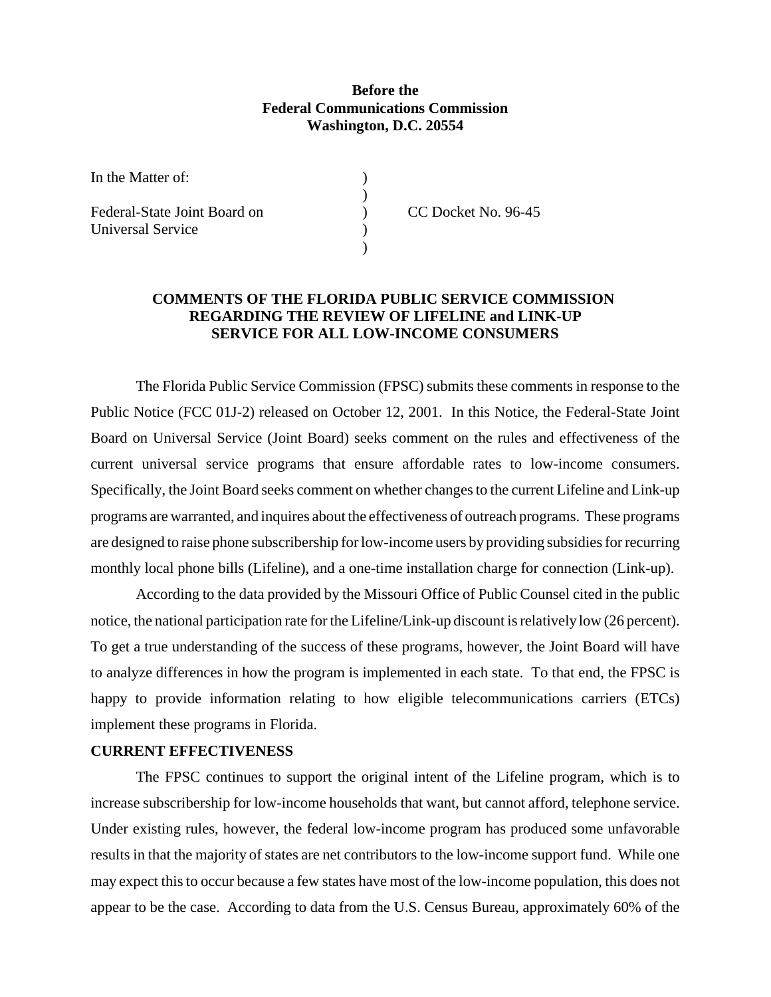## **Before the Federal Communications Commission Washington, D.C. 20554**

)

)

| In the Matter of: |  |
|-------------------|--|
|-------------------|--|

Federal-State Joint Board on (CDocket No. 96-45) Universal Service )

## **COMMENTS OF THE FLORIDA PUBLIC SERVICE COMMISSION REGARDING THE REVIEW OF LIFELINE and LINK-UP SERVICE FOR ALL LOW-INCOME CONSUMERS**

The Florida Public Service Commission (FPSC) submits these comments in response to the Public Notice (FCC 01J-2) released on October 12, 2001. In this Notice, the Federal-State Joint Board on Universal Service (Joint Board) seeks comment on the rules and effectiveness of the current universal service programs that ensure affordable rates to low-income consumers. Specifically, the Joint Board seeks comment on whether changes to the current Lifeline and Link-up programs are warranted, and inquires about the effectiveness of outreach programs. These programs are designed to raise phone subscribership for low-income users by providing subsidies for recurring monthly local phone bills (Lifeline), and a one-time installation charge for connection (Link-up).

According to the data provided by the Missouri Office of Public Counsel cited in the public notice, the national participation rate for the Lifeline/Link-up discount isrelatively low (26 percent). To get a true understanding of the success of these programs, however, the Joint Board will have to analyze differences in how the program is implemented in each state. To that end, the FPSC is happy to provide information relating to how eligible telecommunications carriers (ETCs) implement these programs in Florida.

## **CURRENT EFFECTIVENESS**

The FPSC continues to support the original intent of the Lifeline program, which is to increase subscribership for low-income households that want, but cannot afford, telephone service. Under existing rules, however, the federal low-income program has produced some unfavorable results in that the majority of states are net contributors to the low-income support fund. While one may expect this to occur because a few states have most of the low-income population, this does not appear to be the case. According to data from the U.S. Census Bureau, approximately 60% of the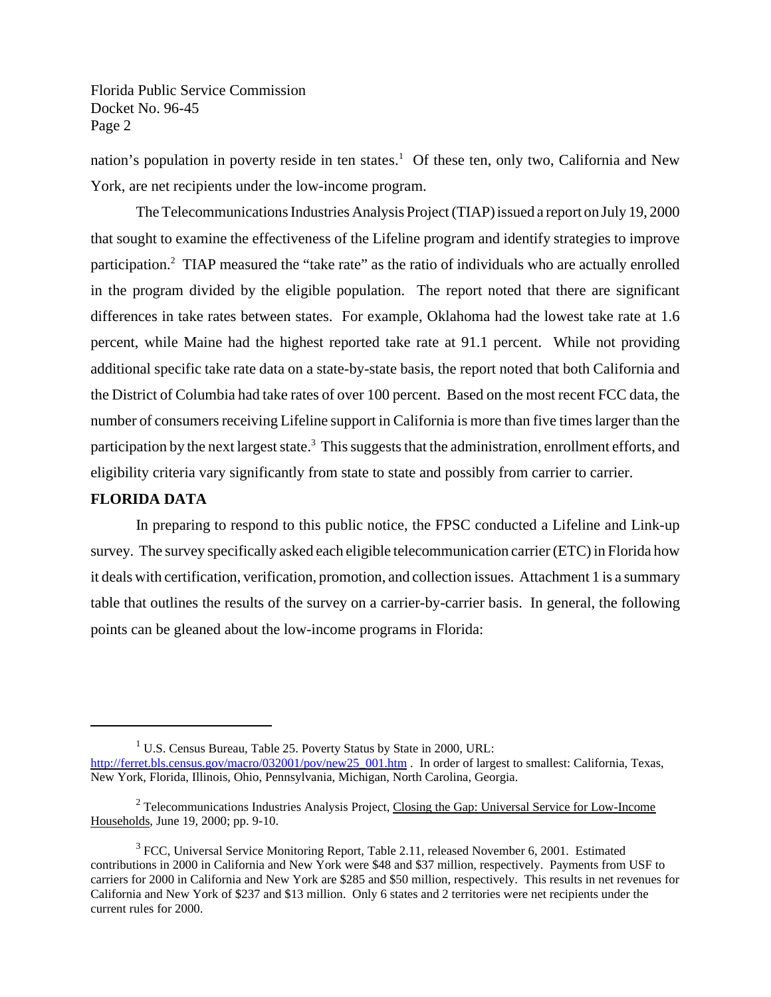nation's population in poverty reside in ten states.<sup>1</sup> Of these ten, only two, California and New York, are net recipients under the low-income program.

The Telecommunications Industries Analysis Project (TIAP) issued a report on July 19, 2000 that sought to examine the effectiveness of the Lifeline program and identify strategies to improve participation.<sup>2</sup> TIAP measured the "take rate" as the ratio of individuals who are actually enrolled in the program divided by the eligible population. The report noted that there are significant differences in take rates between states. For example, Oklahoma had the lowest take rate at 1.6 percent, while Maine had the highest reported take rate at 91.1 percent. While not providing additional specific take rate data on a state-by-state basis, the report noted that both California and the District of Columbia had take rates of over 100 percent. Based on the most recent FCC data, the number of consumers receiving Lifeline support in California is more than five times larger than the participation by the next largest state.<sup>3</sup> This suggests that the administration, enrollment efforts, and eligibility criteria vary significantly from state to state and possibly from carrier to carrier.

#### **FLORIDA DATA**

In preparing to respond to this public notice, the FPSC conducted a Lifeline and Link-up survey. The survey specifically asked each eligible telecommunication carrier (ETC) in Florida how it deals with certification, verification, promotion, and collection issues. Attachment 1 is a summary table that outlines the results of the survey on a carrier-by-carrier basis. In general, the following points can be gleaned about the low-income programs in Florida:

<sup>&</sup>lt;sup>1</sup> U.S. Census Bureau, Table 25. Poverty Status by State in 2000, URL: http://ferret.bls.census.gov/macro/032001/pov/new25\_001.htm . In order of largest to smallest: California, Texas, New York, Florida, Illinois, Ohio, Pennsylvania, Michigan, North Carolina, Georgia.

 $2$  Telecommunications Industries Analysis Project, Closing the Gap: Universal Service for Low-Income Households, June 19, 2000; pp. 9-10.

 $3$  FCC, Universal Service Monitoring Report, Table 2.11, released November 6, 2001. Estimated contributions in 2000 in California and New York were \$48 and \$37 million, respectively. Payments from USF to carriers for 2000 in California and New York are \$285 and \$50 million, respectively. This results in net revenues for California and New York of \$237 and \$13 million. Only 6 states and 2 territories were net recipients under the current rules for 2000.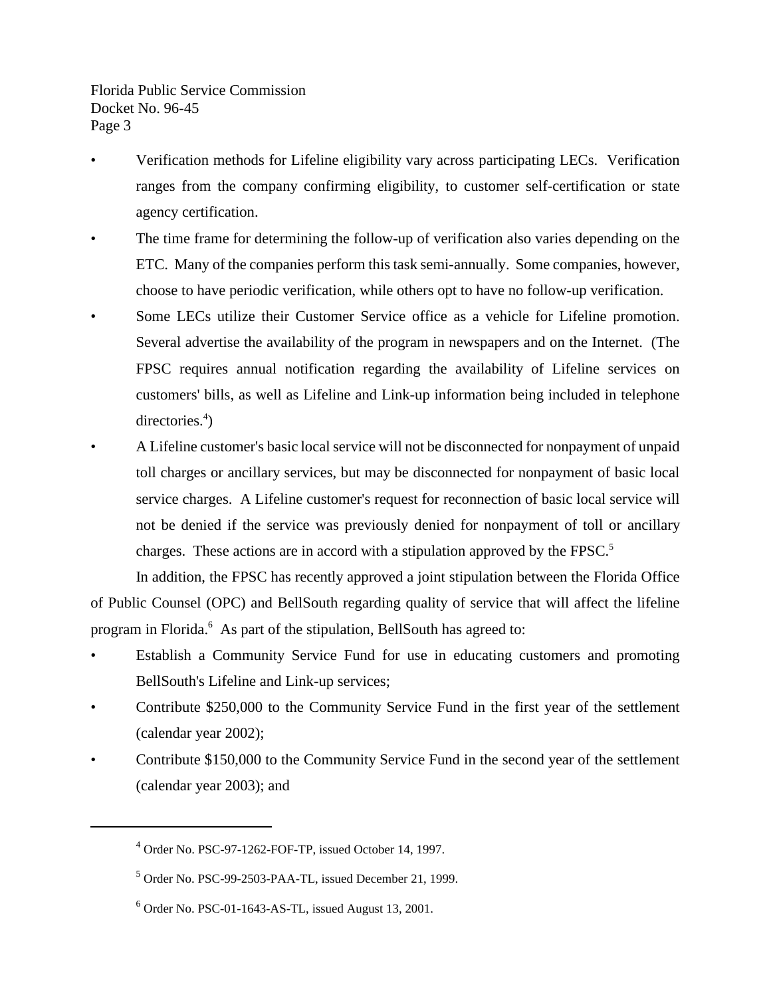- Verification methods for Lifeline eligibility vary across participating LECs. Verification ranges from the company confirming eligibility, to customer self-certification or state agency certification.
- The time frame for determining the follow-up of verification also varies depending on the ETC. Many of the companies perform this task semi-annually. Some companies, however, choose to have periodic verification, while others opt to have no follow-up verification.
- Some LECs utilize their Customer Service office as a vehicle for Lifeline promotion. Several advertise the availability of the program in newspapers and on the Internet. (The FPSC requires annual notification regarding the availability of Lifeline services on customers' bills, as well as Lifeline and Link-up information being included in telephone directories.<sup>4</sup>)
- A Lifeline customer's basic local service will not be disconnected for nonpayment of unpaid toll charges or ancillary services, but may be disconnected for nonpayment of basic local service charges. A Lifeline customer's request for reconnection of basic local service will not be denied if the service was previously denied for nonpayment of toll or ancillary charges. These actions are in accord with a stipulation approved by the FPSC.<sup>5</sup>

In addition, the FPSC has recently approved a joint stipulation between the Florida Office of Public Counsel (OPC) and BellSouth regarding quality of service that will affect the lifeline program in Florida.<sup>6</sup> As part of the stipulation, BellSouth has agreed to:

- Establish a Community Service Fund for use in educating customers and promoting BellSouth's Lifeline and Link-up services;
- Contribute \$250,000 to the Community Service Fund in the first year of the settlement (calendar year 2002);
- Contribute \$150,000 to the Community Service Fund in the second year of the settlement (calendar year 2003); and

<sup>4</sup> Order No. PSC-97-1262-FOF-TP, issued October 14, 1997.

<sup>5</sup> Order No. PSC-99-2503-PAA-TL, issued December 21, 1999.

 $6$  Order No. PSC-01-1643-AS-TL, issued August 13, 2001.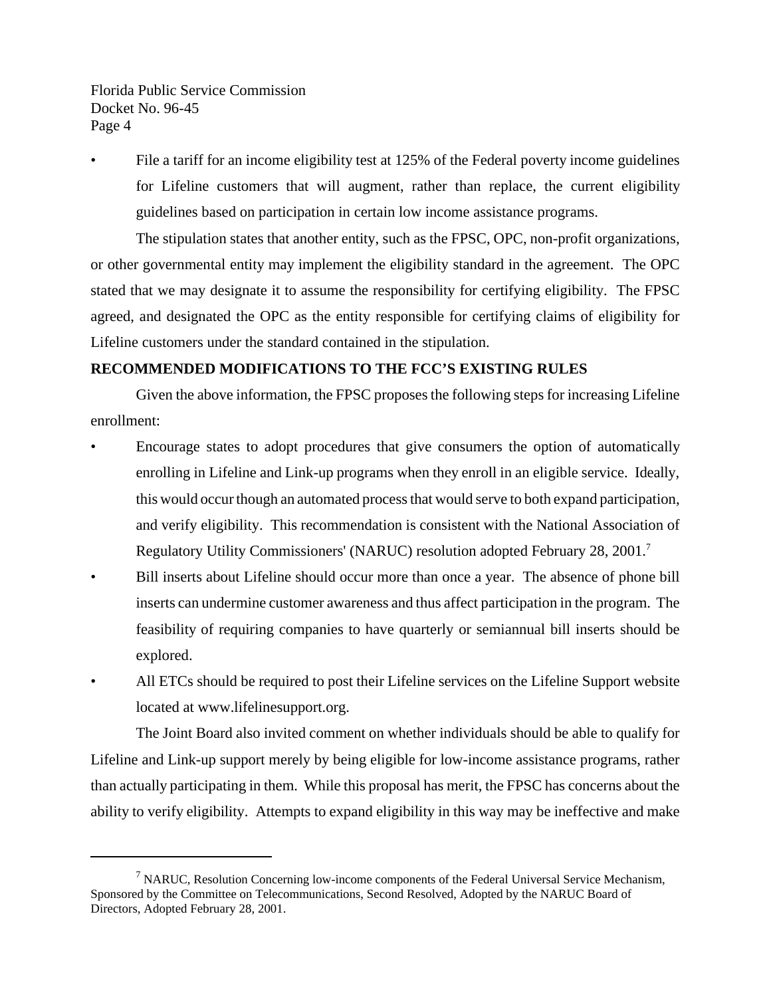File a tariff for an income eligibility test at 125% of the Federal poverty income guidelines for Lifeline customers that will augment, rather than replace, the current eligibility guidelines based on participation in certain low income assistance programs.

The stipulation states that another entity, such as the FPSC, OPC, non-profit organizations, or other governmental entity may implement the eligibility standard in the agreement. The OPC stated that we may designate it to assume the responsibility for certifying eligibility. The FPSC agreed, and designated the OPC as the entity responsible for certifying claims of eligibility for Lifeline customers under the standard contained in the stipulation.

## **RECOMMENDED MODIFICATIONS TO THE FCC'S EXISTING RULES**

Given the above information, the FPSC proposes the following steps for increasing Lifeline enrollment:

- Encourage states to adopt procedures that give consumers the option of automatically enrolling in Lifeline and Link-up programs when they enroll in an eligible service. Ideally, this would occurthough an automated processthat would serve to both expand participation, and verify eligibility. This recommendation is consistent with the National Association of Regulatory Utility Commissioners' (NARUC) resolution adopted February 28, 2001.<sup>7</sup>
- Bill inserts about Lifeline should occur more than once a year. The absence of phone bill inserts can undermine customer awareness and thus affect participation in the program. The feasibility of requiring companies to have quarterly or semiannual bill inserts should be explored.
- All ETCs should be required to post their Lifeline services on the Lifeline Support website located at www.lifelinesupport.org.

The Joint Board also invited comment on whether individuals should be able to qualify for Lifeline and Link-up support merely by being eligible for low-income assistance programs, rather than actually participating in them. While this proposal has merit, the FPSC has concerns about the ability to verify eligibility. Attempts to expand eligibility in this way may be ineffective and make

<sup>&</sup>lt;sup>7</sup> NARUC, Resolution Concerning low-income components of the Federal Universal Service Mechanism, Sponsored by the Committee on Telecommunications, Second Resolved, Adopted by the NARUC Board of Directors, Adopted February 28, 2001.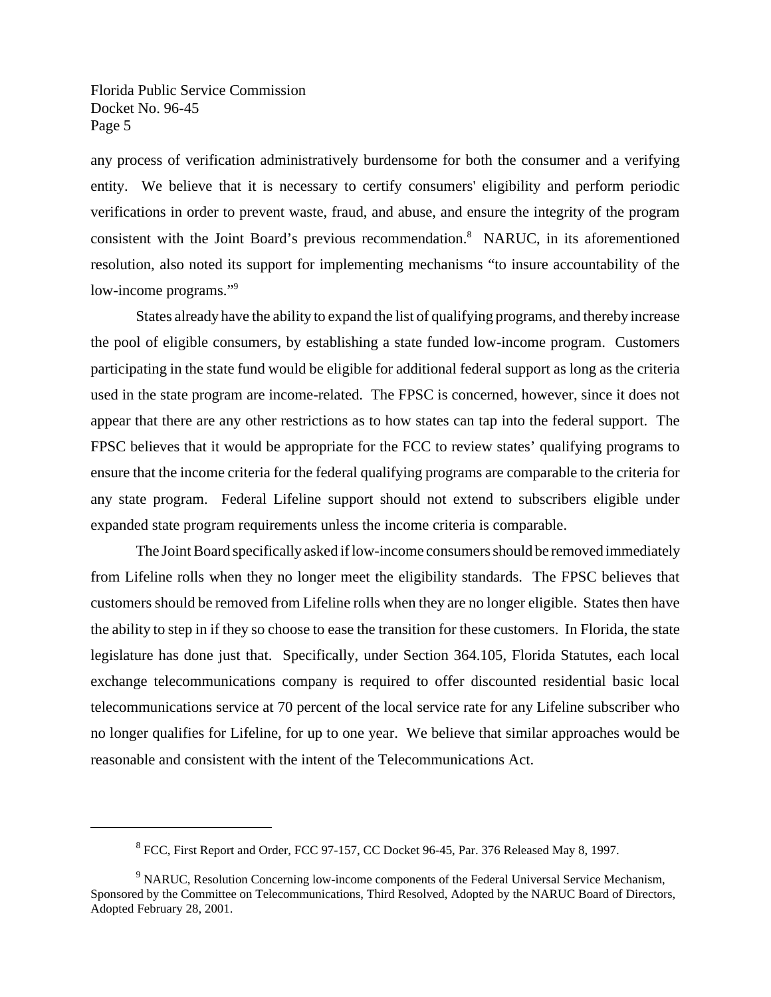any process of verification administratively burdensome for both the consumer and a verifying entity. We believe that it is necessary to certify consumers' eligibility and perform periodic verifications in order to prevent waste, fraud, and abuse, and ensure the integrity of the program consistent with the Joint Board's previous recommendation.<sup>8</sup> NARUC, in its aforementioned resolution, also noted its support for implementing mechanisms "to insure accountability of the low-income programs."<sup>9</sup>

States already have the ability to expand the list of qualifying programs, and thereby increase the pool of eligible consumers, by establishing a state funded low-income program. Customers participating in the state fund would be eligible for additional federal support as long as the criteria used in the state program are income-related. The FPSC is concerned, however, since it does not appear that there are any other restrictions as to how states can tap into the federal support. The FPSC believes that it would be appropriate for the FCC to review states' qualifying programs to ensure that the income criteria for the federal qualifying programs are comparable to the criteria for any state program. Federal Lifeline support should not extend to subscribers eligible under expanded state program requirements unless the income criteria is comparable.

The Joint Board specifically asked if low-income consumers should be removed immediately from Lifeline rolls when they no longer meet the eligibility standards. The FPSC believes that customers should be removed from Lifeline rolls when they are no longer eligible. States then have the ability to step in if they so choose to ease the transition for these customers. In Florida, the state legislature has done just that. Specifically, under Section 364.105, Florida Statutes, each local exchange telecommunications company is required to offer discounted residential basic local telecommunications service at 70 percent of the local service rate for any Lifeline subscriber who no longer qualifies for Lifeline, for up to one year. We believe that similar approaches would be reasonable and consistent with the intent of the Telecommunications Act.

 $8$  FCC, First Report and Order, FCC 97-157, CC Docket 96-45, Par. 376 Released May 8, 1997.

<sup>&</sup>lt;sup>9</sup> NARUC, Resolution Concerning low-income components of the Federal Universal Service Mechanism, Sponsored by the Committee on Telecommunications, Third Resolved, Adopted by the NARUC Board of Directors, Adopted February 28, 2001.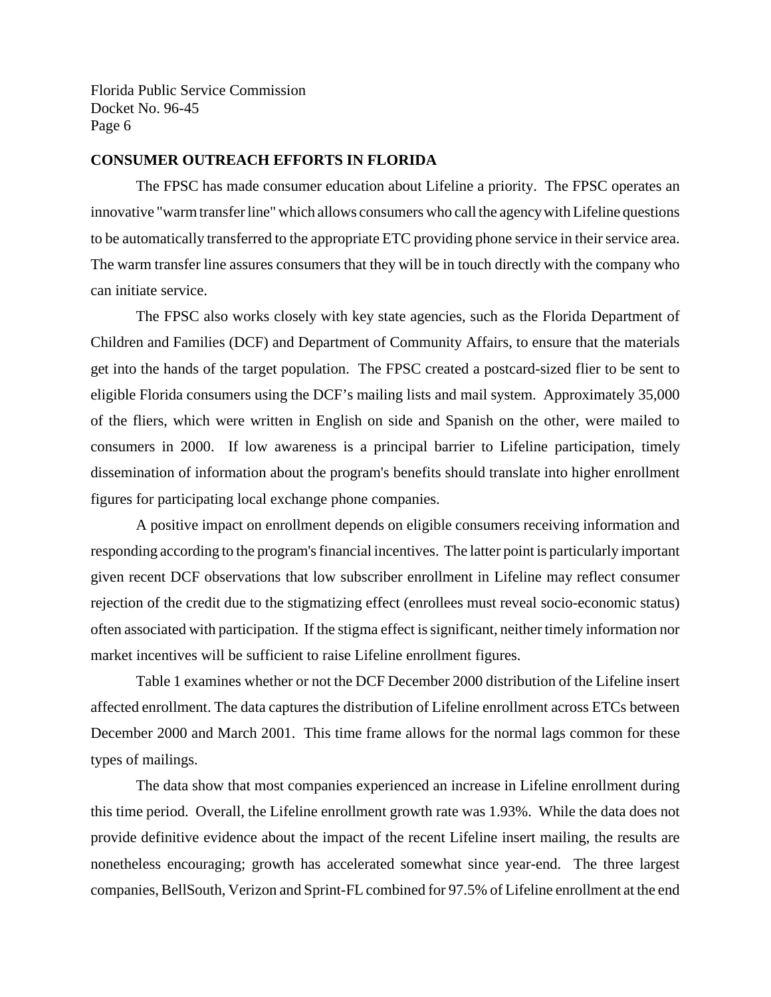#### **CONSUMER OUTREACH EFFORTS IN FLORIDA**

The FPSC has made consumer education about Lifeline a priority. The FPSC operates an innovative "warmtransferline" which allows consumers who call the agencywithLifeline questions to be automatically transferred to the appropriate ETC providing phone service in their service area. The warm transfer line assures consumers that they will be in touch directly with the company who can initiate service.

The FPSC also works closely with key state agencies, such as the Florida Department of Children and Families (DCF) and Department of Community Affairs, to ensure that the materials get into the hands of the target population. The FPSC created a postcard-sized flier to be sent to eligible Florida consumers using the DCF's mailing lists and mail system. Approximately 35,000 of the fliers, which were written in English on side and Spanish on the other, were mailed to consumers in 2000. If low awareness is a principal barrier to Lifeline participation, timely dissemination of information about the program's benefits should translate into higher enrollment figures for participating local exchange phone companies.

A positive impact on enrollment depends on eligible consumers receiving information and responding according to the program's financial incentives. The latter point is particularly important given recent DCF observations that low subscriber enrollment in Lifeline may reflect consumer rejection of the credit due to the stigmatizing effect (enrollees must reveal socio-economic status) often associated with participation. If the stigma effect is significant, neither timely information nor market incentives will be sufficient to raise Lifeline enrollment figures.

Table 1 examines whether or not the DCF December 2000 distribution of the Lifeline insert affected enrollment. The data captures the distribution of Lifeline enrollment across ETCs between December 2000 and March 2001. This time frame allows for the normal lags common for these types of mailings.

The data show that most companies experienced an increase in Lifeline enrollment during this time period. Overall, the Lifeline enrollment growth rate was 1.93%. While the data does not provide definitive evidence about the impact of the recent Lifeline insert mailing, the results are nonetheless encouraging; growth has accelerated somewhat since year-end. The three largest companies, BellSouth, Verizon and Sprint-FL combined for 97.5% of Lifeline enrollment at the end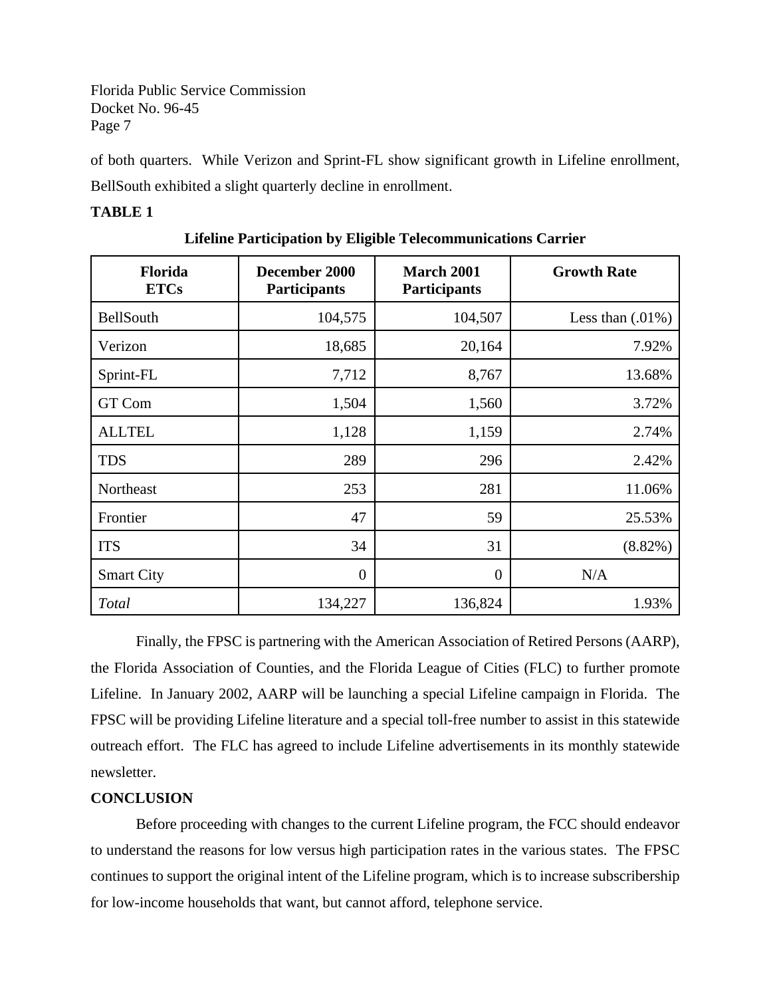of both quarters. While Verizon and Sprint-FL show significant growth in Lifeline enrollment,

BellSouth exhibited a slight quarterly decline in enrollment.

## **TABLE 1**

| <b>Florida</b><br><b>ETCs</b> | December 2000<br>Participants | <b>March 2001</b><br><b>Participants</b> | <b>Growth Rate</b>  |
|-------------------------------|-------------------------------|------------------------------------------|---------------------|
| BellSouth                     | 104,575                       | 104,507                                  | Less than $(.01\%)$ |
| Verizon                       | 18,685                        | 20,164                                   | 7.92%               |
| Sprint-FL                     | 7,712                         | 8,767                                    | 13.68%              |
| <b>GT Com</b>                 | 1,504                         | 1,560                                    | 3.72%               |
| <b>ALLTEL</b>                 | 1,128                         | 1,159                                    | 2.74%               |
| <b>TDS</b>                    | 289                           | 296                                      | 2.42%               |
| Northeast                     | 253                           | 281                                      | 11.06%              |
| Frontier                      | 47                            | 59                                       | 25.53%              |
| <b>ITS</b>                    | 34                            | 31                                       | $(8.82\%)$          |
| <b>Smart City</b>             | $\overline{0}$                | $\overline{0}$                           | N/A                 |
| <b>Total</b>                  | 134,227                       | 136,824                                  | 1.93%               |

**Lifeline Participation by Eligible Telecommunications Carrier**

Finally, the FPSC is partnering with the American Association of Retired Persons (AARP), the Florida Association of Counties, and the Florida League of Cities (FLC) to further promote Lifeline. In January 2002, AARP will be launching a special Lifeline campaign in Florida. The FPSC will be providing Lifeline literature and a special toll-free number to assist in this statewide outreach effort. The FLC has agreed to include Lifeline advertisements in its monthly statewide newsletter.

## **CONCLUSION**

Before proceeding with changes to the current Lifeline program, the FCC should endeavor to understand the reasons for low versus high participation rates in the various states. The FPSC continues to support the original intent of the Lifeline program, which is to increase subscribership for low-income households that want, but cannot afford, telephone service.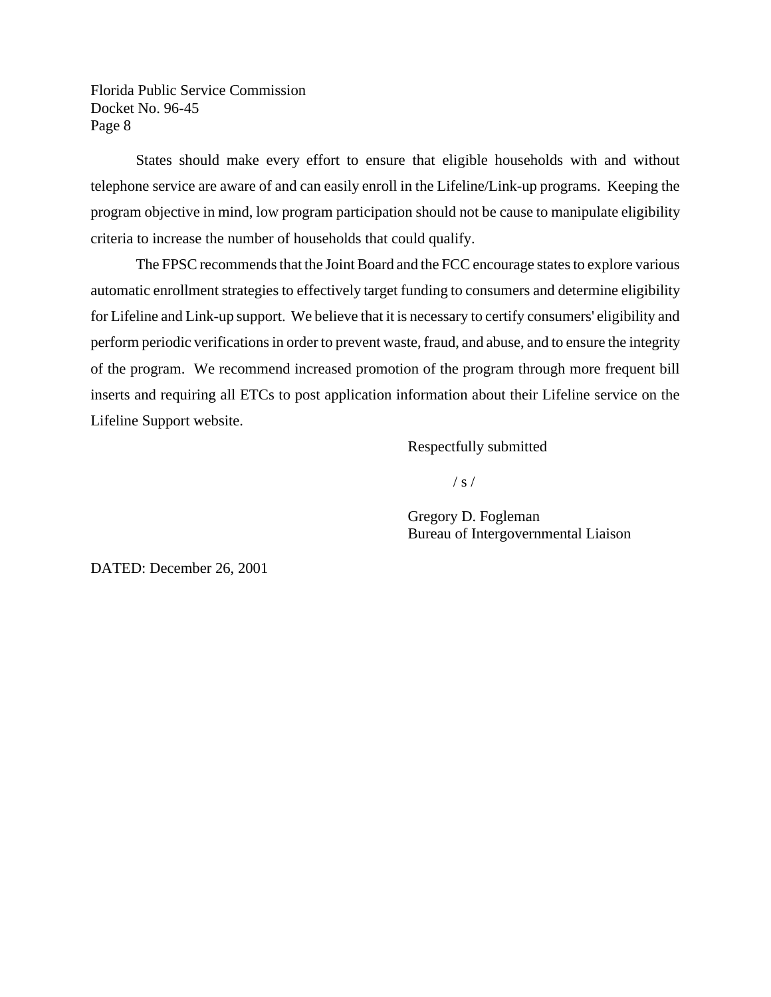States should make every effort to ensure that eligible households with and without telephone service are aware of and can easily enroll in the Lifeline/Link-up programs. Keeping the program objective in mind, low program participation should not be cause to manipulate eligibility criteria to increase the number of households that could qualify.

The FPSC recommends that the Joint Board and the FCC encourage states to explore various automatic enrollment strategies to effectively target funding to consumers and determine eligibility for Lifeline and Link-up support. We believe that it is necessary to certify consumers' eligibility and perform periodic verifications in order to prevent waste, fraud, and abuse, and to ensure the integrity of the program. We recommend increased promotion of the program through more frequent bill inserts and requiring all ETCs to post application information about their Lifeline service on the Lifeline Support website.

Respectfully submitted

 $/ s /$ 

Gregory D. Fogleman Bureau of Intergovernmental Liaison

DATED: December 26, 2001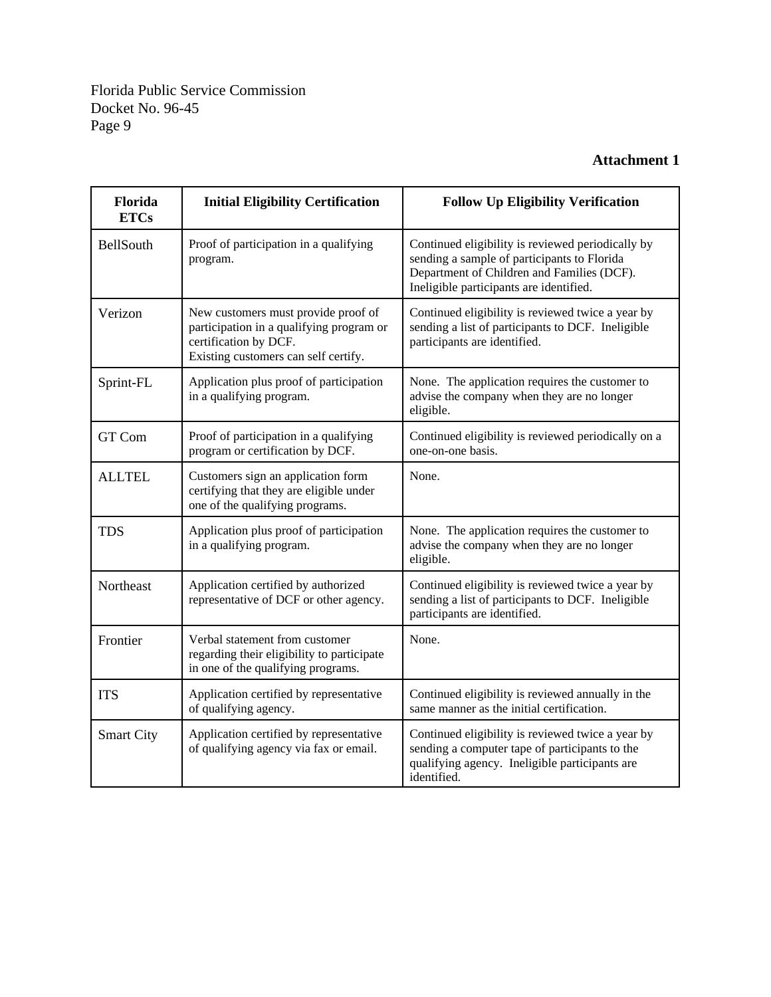# **Attachment 1**

| Florida<br><b>ETCs</b> | <b>Initial Eligibility Certification</b>                                                                                                         | <b>Follow Up Eligibility Verification</b>                                                                                                                                                 |  |
|------------------------|--------------------------------------------------------------------------------------------------------------------------------------------------|-------------------------------------------------------------------------------------------------------------------------------------------------------------------------------------------|--|
| BellSouth              | Proof of participation in a qualifying<br>program.                                                                                               | Continued eligibility is reviewed periodically by<br>sending a sample of participants to Florida<br>Department of Children and Families (DCF).<br>Ineligible participants are identified. |  |
| Verizon                | New customers must provide proof of<br>participation in a qualifying program or<br>certification by DCF.<br>Existing customers can self certify. | Continued eligibility is reviewed twice a year by<br>sending a list of participants to DCF. Ineligible<br>participants are identified.                                                    |  |
| Sprint-FL              | Application plus proof of participation<br>in a qualifying program.                                                                              | None. The application requires the customer to<br>advise the company when they are no longer<br>eligible.                                                                                 |  |
| GT Com                 | Proof of participation in a qualifying<br>program or certification by DCF.                                                                       | Continued eligibility is reviewed periodically on a<br>one-on-one basis.                                                                                                                  |  |
| <b>ALLTEL</b>          | Customers sign an application form<br>certifying that they are eligible under<br>one of the qualifying programs.                                 | None.                                                                                                                                                                                     |  |
| <b>TDS</b>             | Application plus proof of participation<br>in a qualifying program.                                                                              | None. The application requires the customer to<br>advise the company when they are no longer<br>eligible.                                                                                 |  |
| Northeast              | Application certified by authorized<br>representative of DCF or other agency.                                                                    | Continued eligibility is reviewed twice a year by<br>sending a list of participants to DCF. Ineligible<br>participants are identified.                                                    |  |
| Frontier               | Verbal statement from customer<br>regarding their eligibility to participate<br>in one of the qualifying programs.                               | None.                                                                                                                                                                                     |  |
| <b>ITS</b>             | Application certified by representative<br>of qualifying agency.                                                                                 | Continued eligibility is reviewed annually in the<br>same manner as the initial certification.                                                                                            |  |
| <b>Smart City</b>      | Application certified by representative<br>of qualifying agency via fax or email.                                                                | Continued eligibility is reviewed twice a year by<br>sending a computer tape of participants to the<br>qualifying agency. Ineligible participants are<br>identified.                      |  |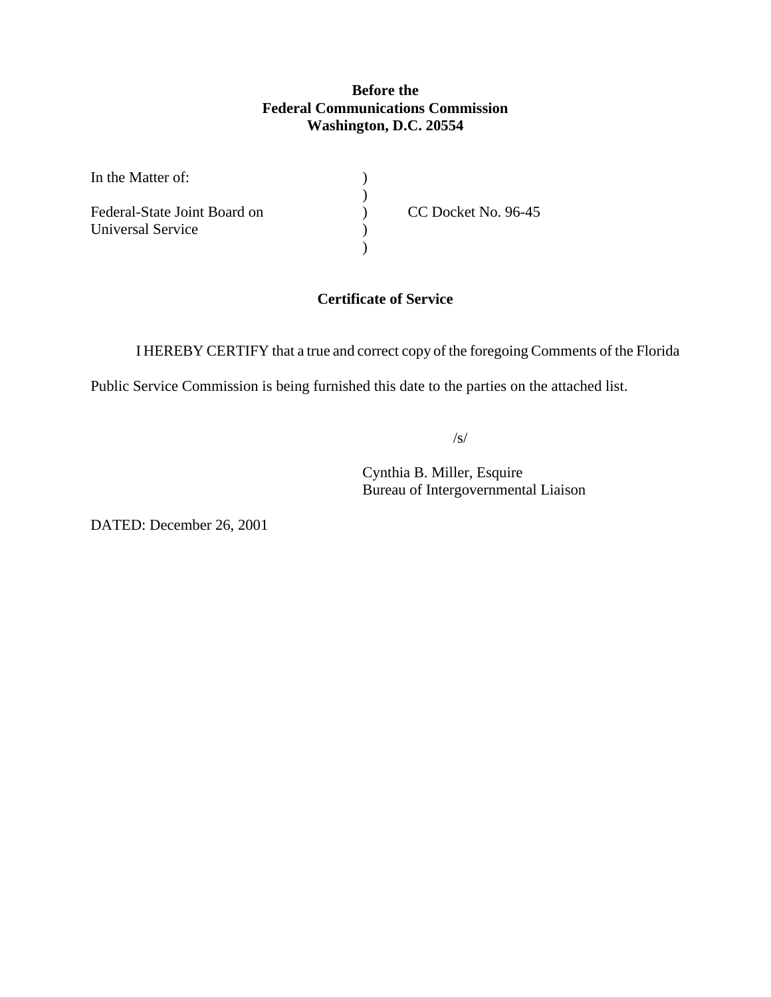## **Before the Federal Communications Commission Washington, D.C. 20554**

| In the Matter of:            |                     |
|------------------------------|---------------------|
|                              |                     |
| Federal-State Joint Board on | CC Docket No. 96-45 |
| Universal Service            |                     |
|                              |                     |

## **Certificate of Service**

I HEREBY CERTIFY that a true and correct copy of the foregoing Comments of the Florida

Public Service Commission is being furnished this date to the parties on the attached list.

/s/

Cynthia B. Miller, Esquire Bureau of Intergovernmental Liaison

DATED: December 26, 2001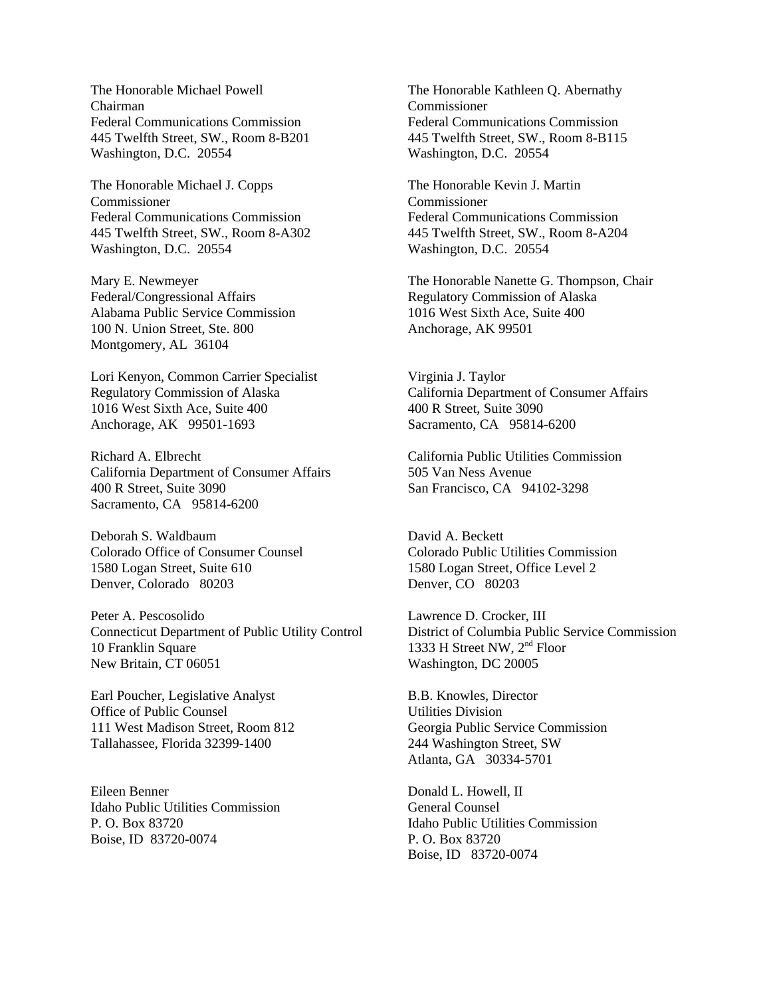The Honorable Michael Powell Chairman Federal Communications Commission 445 Twelfth Street, SW., Room 8-B201 Washington, D.C. 20554

The Honorable Michael J. Copps Commissioner Federal Communications Commission 445 Twelfth Street, SW., Room 8-A302 Washington, D.C. 20554

Mary E. Newmeyer Federal/Congressional Affairs Alabama Public Service Commission 100 N. Union Street, Ste. 800 Montgomery, AL 36104

Lori Kenyon, Common Carrier Specialist Regulatory Commission of Alaska 1016 West Sixth Ace, Suite 400 Anchorage, AK 99501-1693

Richard A. Elbrecht California Department of Consumer Affairs 400 R Street, Suite 3090 Sacramento, CA 95814-6200

Deborah S. Waldbaum Colorado Office of Consumer Counsel 1580 Logan Street, Suite 610 Denver, Colorado 80203

Peter A. Pescosolido Connecticut Department of Public Utility Control 10 Franklin Square New Britain, CT 06051

Earl Poucher, Legislative Analyst Office of Public Counsel 111 West Madison Street, Room 812 Tallahassee, Florida 32399-1400

Eileen Benner Idaho Public Utilities Commission P. O. Box 83720 Boise, ID 83720-0074

The Honorable Kathleen Q. Abernathy Commissioner Federal Communications Commission 445 Twelfth Street, SW., Room 8-B115 Washington, D.C. 20554

The Honorable Kevin J. Martin Commissioner Federal Communications Commission 445 Twelfth Street, SW., Room 8-A204 Washington, D.C. 20554

The Honorable Nanette G. Thompson, Chair Regulatory Commission of Alaska 1016 West Sixth Ace, Suite 400 Anchorage, AK 99501

Virginia J. Taylor California Department of Consumer Affairs 400 R Street, Suite 3090 Sacramento, CA 95814-6200

California Public Utilities Commission 505 Van Ness Avenue San Francisco, CA 94102-3298

David A. Beckett Colorado Public Utilities Commission 1580 Logan Street, Office Level 2 Denver, CO 80203

Lawrence D. Crocker, III District of Columbia Public Service Commission 1333 H Street NW, 2<sup>nd</sup> Floor Washington, DC 20005

B.B. Knowles, Director Utilities Division Georgia Public Service Commission 244 Washington Street, SW Atlanta, GA 30334-5701

Donald L. Howell, II General Counsel Idaho Public Utilities Commission P. O. Box 83720 Boise, ID 83720-0074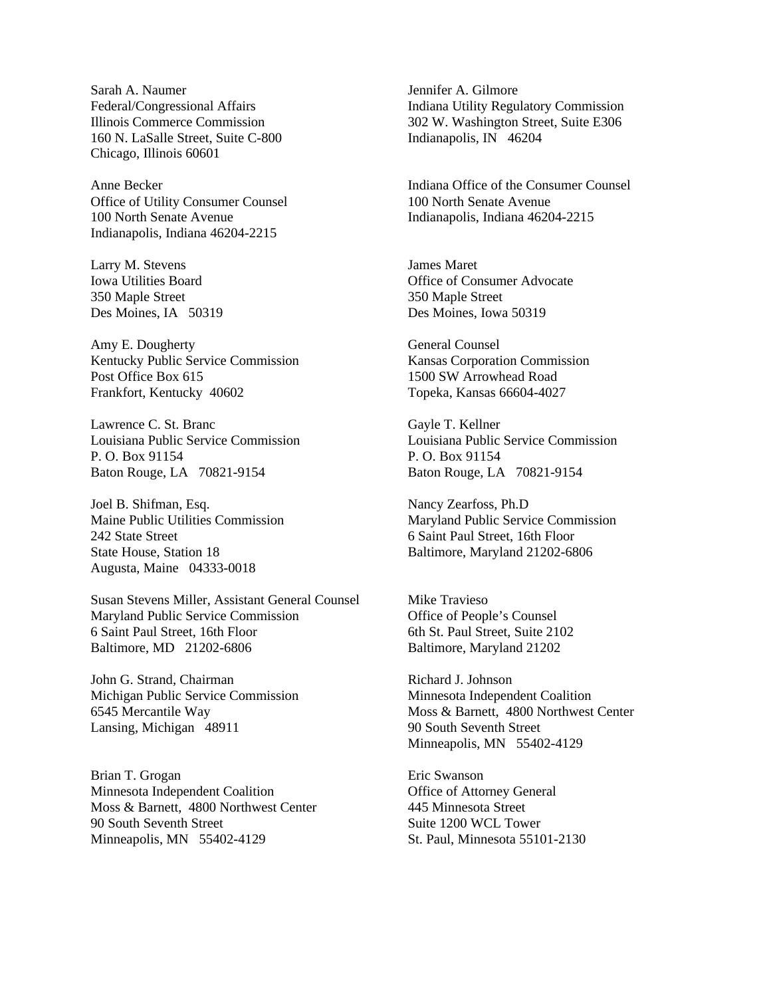Sarah A. Naumer Federal/Congressional Affairs Illinois Commerce Commission 160 N. LaSalle Street, Suite C-800 Chicago, Illinois 60601

Anne Becker Office of Utility Consumer Counsel 100 North Senate Avenue Indianapolis, Indiana 46204-2215

Larry M. Stevens Iowa Utilities Board 350 Maple Street Des Moines, IA 50319

Amy E. Dougherty Kentucky Public Service Commission Post Office Box 615 Frankfort, Kentucky 40602

Lawrence C. St. Branc Louisiana Public Service Commission P. O. Box 91154 Baton Rouge, LA 70821-9154

Joel B. Shifman, Esq. Maine Public Utilities Commission 242 State Street State House, Station 18 Augusta, Maine 04333-0018

Susan Stevens Miller, Assistant General Counsel Maryland Public Service Commission 6 Saint Paul Street, 16th Floor Baltimore, MD 21202-6806

John G. Strand, Chairman Michigan Public Service Commission 6545 Mercantile Way Lansing, Michigan 48911

Brian T. Grogan Minnesota Independent Coalition Moss & Barnett, 4800 Northwest Center 90 South Seventh Street Minneapolis, MN 55402-4129

Jennifer A. Gilmore Indiana Utility Regulatory Commission 302 W. Washington Street, Suite E306 Indianapolis, IN 46204

Indiana Office of the Consumer Counsel 100 North Senate Avenue Indianapolis, Indiana 46204-2215

James Maret Office of Consumer Advocate 350 Maple Street Des Moines, Iowa 50319

General Counsel Kansas Corporation Commission 1500 SW Arrowhead Road Topeka, Kansas 66604-4027

Gayle T. Kellner Louisiana Public Service Commission P. O. Box 91154 Baton Rouge, LA 70821-9154

Nancy Zearfoss, Ph.D Maryland Public Service Commission 6 Saint Paul Street, 16th Floor Baltimore, Maryland 21202-6806

Mike Travieso Office of People's Counsel 6th St. Paul Street, Suite 2102 Baltimore, Maryland 21202

Richard J. Johnson Minnesota Independent Coalition Moss & Barnett, 4800 Northwest Center 90 South Seventh Street Minneapolis, MN 55402-4129

Eric Swanson Office of Attorney General 445 Minnesota Street Suite 1200 WCL Tower St. Paul, Minnesota 55101-2130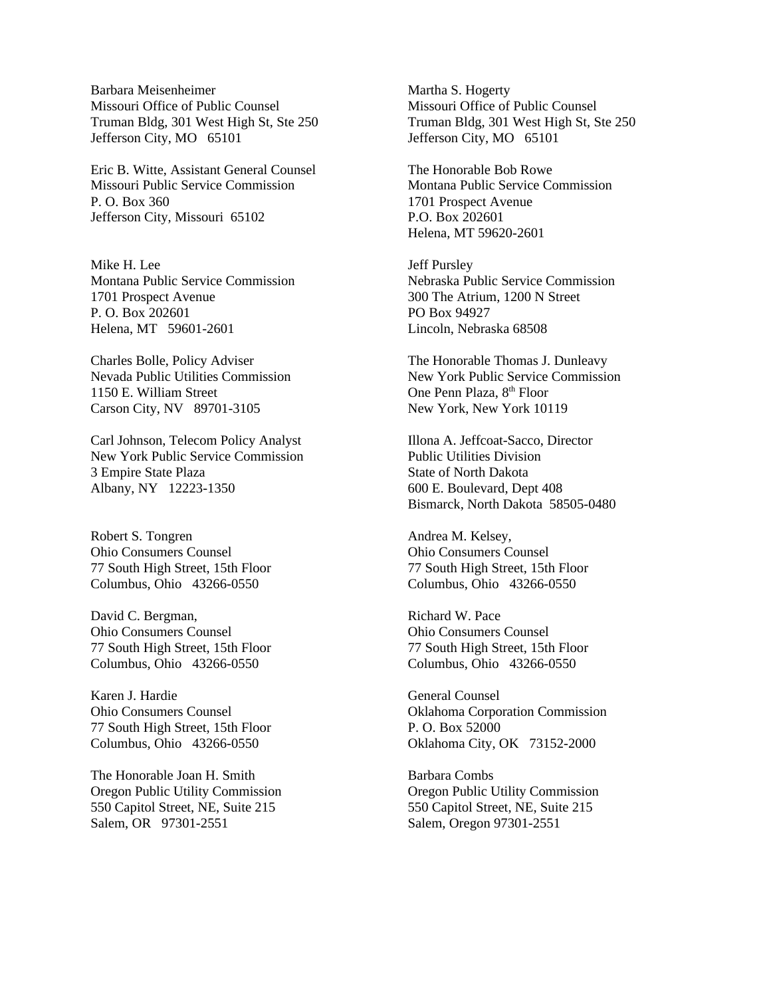Barbara Meisenheimer Missouri Office of Public Counsel Truman Bldg, 301 West High St, Ste 250 Jefferson City, MO 65101

Eric B. Witte, Assistant General Counsel Missouri Public Service Commission P. O. Box 360 Jefferson City, Missouri 65102

Mike H. Lee Montana Public Service Commission 1701 Prospect Avenue P. O. Box 202601 Helena, MT 59601-2601

Charles Bolle, Policy Adviser Nevada Public Utilities Commission 1150 E. William Street Carson City, NV 89701-3105

Carl Johnson, Telecom Policy Analyst New York Public Service Commission 3 Empire State Plaza Albany, NY 12223-1350

Robert S. Tongren Ohio Consumers Counsel 77 South High Street, 15th Floor Columbus, Ohio 43266-0550

David C. Bergman, Ohio Consumers Counsel 77 South High Street, 15th Floor Columbus, Ohio 43266-0550

Karen J. Hardie Ohio Consumers Counsel 77 South High Street, 15th Floor Columbus, Ohio 43266-0550

The Honorable Joan H. Smith Oregon Public Utility Commission 550 Capitol Street, NE, Suite 215 Salem, OR 97301-2551

Martha S. Hogerty Missouri Office of Public Counsel Truman Bldg, 301 West High St, Ste 250 Jefferson City, MO 65101

The Honorable Bob Rowe Montana Public Service Commission 1701 Prospect Avenue P.O. Box 202601 Helena, MT 59620-2601

Jeff Pursley Nebraska Public Service Commission 300 The Atrium, 1200 N Street PO Box 94927 Lincoln, Nebraska 68508

The Honorable Thomas J. Dunleavy New York Public Service Commission One Penn Plaza, 8<sup>th</sup> Floor New York, New York 10119

Illona A. Jeffcoat-Sacco, Director Public Utilities Division State of North Dakota 600 E. Boulevard, Dept 408 Bismarck, North Dakota 58505-0480

Andrea M. Kelsey, Ohio Consumers Counsel 77 South High Street, 15th Floor Columbus, Ohio 43266-0550

Richard W. Pace Ohio Consumers Counsel 77 South High Street, 15th Floor Columbus, Ohio 43266-0550

General Counsel Oklahoma Corporation Commission P. O. Box 52000 Oklahoma City, OK 73152-2000

Barbara Combs Oregon Public Utility Commission 550 Capitol Street, NE, Suite 215 Salem, Oregon 97301-2551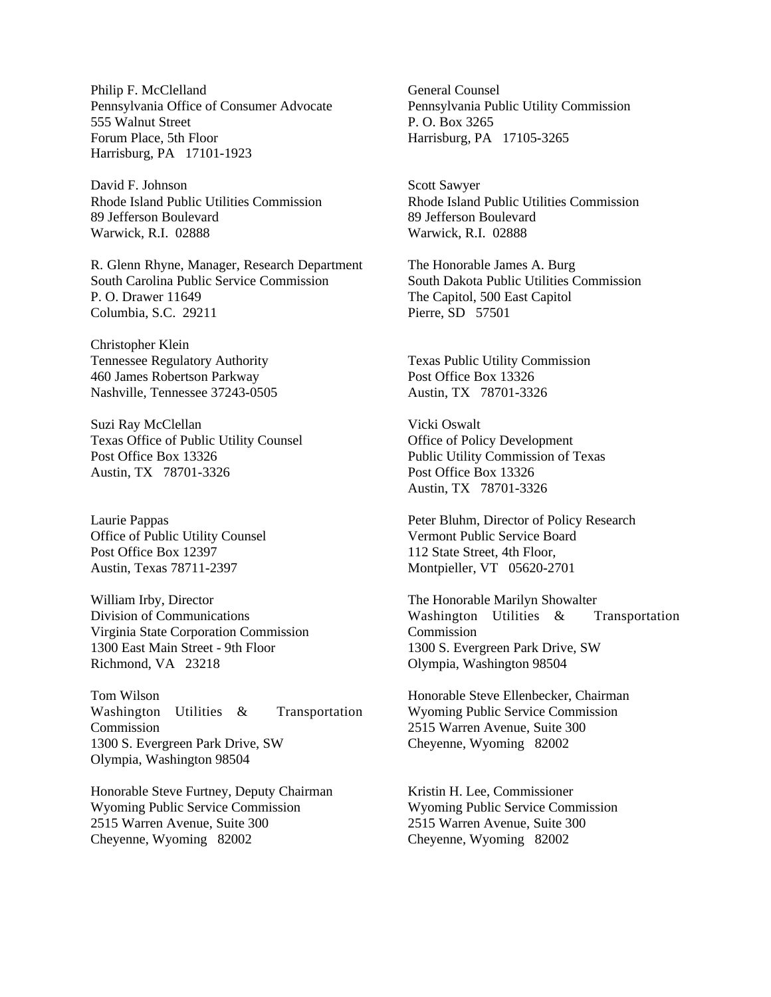Philip F. McClelland Pennsylvania Office of Consumer Advocate 555 Walnut Street Forum Place, 5th Floor Harrisburg, PA 17101-1923

David F. Johnson Rhode Island Public Utilities Commission 89 Jefferson Boulevard Warwick, R.I. 02888

R. Glenn Rhyne, Manager, Research Department South Carolina Public Service Commission P. O. Drawer 11649 Columbia, S.C. 29211

Christopher Klein Tennessee Regulatory Authority 460 James Robertson Parkway Nashville, Tennessee 37243-0505

Suzi Ray McClellan Texas Office of Public Utility Counsel Post Office Box 13326 Austin, TX 78701-3326

Laurie Pappas Office of Public Utility Counsel Post Office Box 12397 Austin, Texas 78711-2397

William Irby, Director Division of Communications Virginia State Corporation Commission 1300 East Main Street - 9th Floor Richmond, VA 23218

Tom Wilson Washington Utilities & Transportation Commission 1300 S. Evergreen Park Drive, SW Olympia, Washington 98504

Honorable Steve Furtney, Deputy Chairman Wyoming Public Service Commission 2515 Warren Avenue, Suite 300 Cheyenne, Wyoming 82002

General Counsel Pennsylvania Public Utility Commission P. O. Box 3265 Harrisburg, PA 17105-3265

Scott Sawyer Rhode Island Public Utilities Commission 89 Jefferson Boulevard Warwick, R.I. 02888

The Honorable James A. Burg South Dakota Public Utilities Commission The Capitol, 500 East Capitol Pierre, SD 57501

Texas Public Utility Commission Post Office Box 13326 Austin, TX 78701-3326

Vicki Oswalt Office of Policy Development Public Utility Commission of Texas Post Office Box 13326 Austin, TX 78701-3326

Peter Bluhm, Director of Policy Research Vermont Public Service Board 112 State Street, 4th Floor, Montpieller, VT 05620-2701

The Honorable Marilyn Showalter Washington Utilities & Transportation Commission 1300 S. Evergreen Park Drive, SW Olympia, Washington 98504

Honorable Steve Ellenbecker, Chairman Wyoming Public Service Commission 2515 Warren Avenue, Suite 300 Cheyenne, Wyoming 82002

Kristin H. Lee, Commissioner Wyoming Public Service Commission 2515 Warren Avenue, Suite 300 Cheyenne, Wyoming 82002